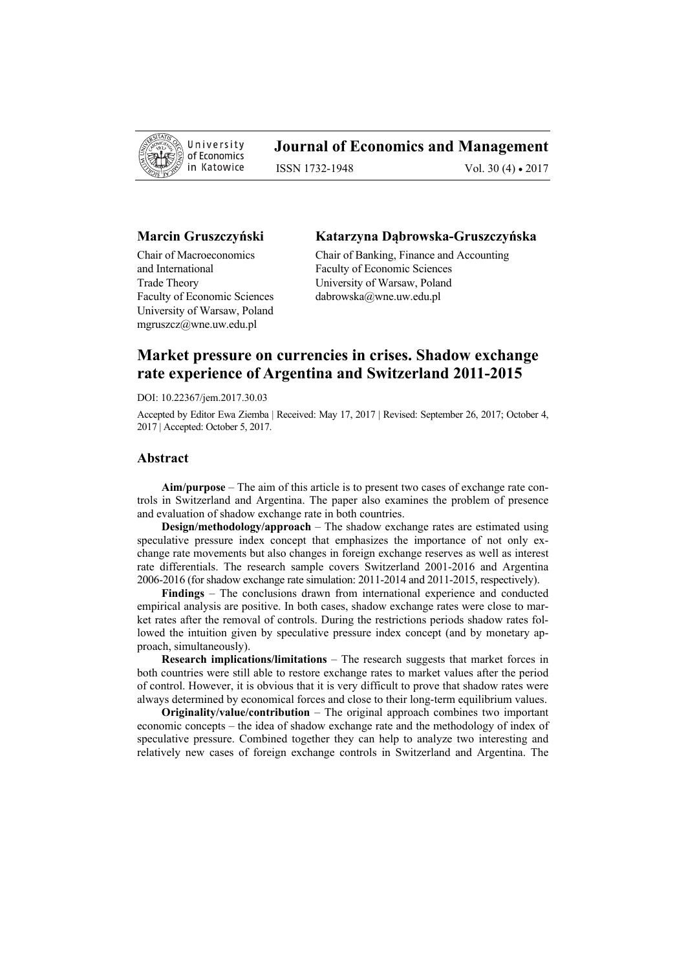

## **Journal of Economics and Management**

ISSN 1732-1948 Vol. 30 (4) • 2017

## **Marcin Gruszczyński**

Chair of Macroeconomics and International Trade Theory Faculty of Economic Sciences University of Warsaw, Poland mgruszcz@wne.uw.edu.pl

#### **Katarzyna Dąbrowska-Gruszczyńska**

Chair of Banking, Finance and Accounting Faculty of Economic Sciences University of Warsaw, Poland dabrowska@wne.uw.edu.pl

# **Market pressure on currencies in crises. Shadow exchange rate experience of Argentina and Switzerland 2011-2015**

DOI: 10.22367/jem.2017.30.03

Accepted by Editor Ewa Ziemba | Received: May 17, 2017 | Revised: September 26, 2017; October 4, 2017 | Accepted: October 5, 2017.

### **Abstract**

**Aim/purpose** – The aim of this article is to present two cases of exchange rate controls in Switzerland and Argentina. The paper also examines the problem of presence and evaluation of shadow exchange rate in both countries.

**Design/methodology/approach** – The shadow exchange rates are estimated using speculative pressure index concept that emphasizes the importance of not only exchange rate movements but also changes in foreign exchange reserves as well as interest rate differentials. The research sample covers Switzerland 2001-2016 and Argentina 2006-2016 (for shadow exchange rate simulation: 2011-2014 and 2011-2015, respectively).

**Findings** – The conclusions drawn from international experience and conducted empirical analysis are positive. In both cases, shadow exchange rates were close to market rates after the removal of controls. During the restrictions periods shadow rates followed the intuition given by speculative pressure index concept (and by monetary approach, simultaneously).

**Research implications/limitations** – The research suggests that market forces in both countries were still able to restore exchange rates to market values after the period of control. However, it is obvious that it is very difficult to prove that shadow rates were always determined by economical forces and close to their long-term equilibrium values.

**Originality/value/contribution** – The original approach combines two important economic concepts – the idea of shadow exchange rate and the methodology of index of speculative pressure. Combined together they can help to analyze two interesting and relatively new cases of foreign exchange controls in Switzerland and Argentina. The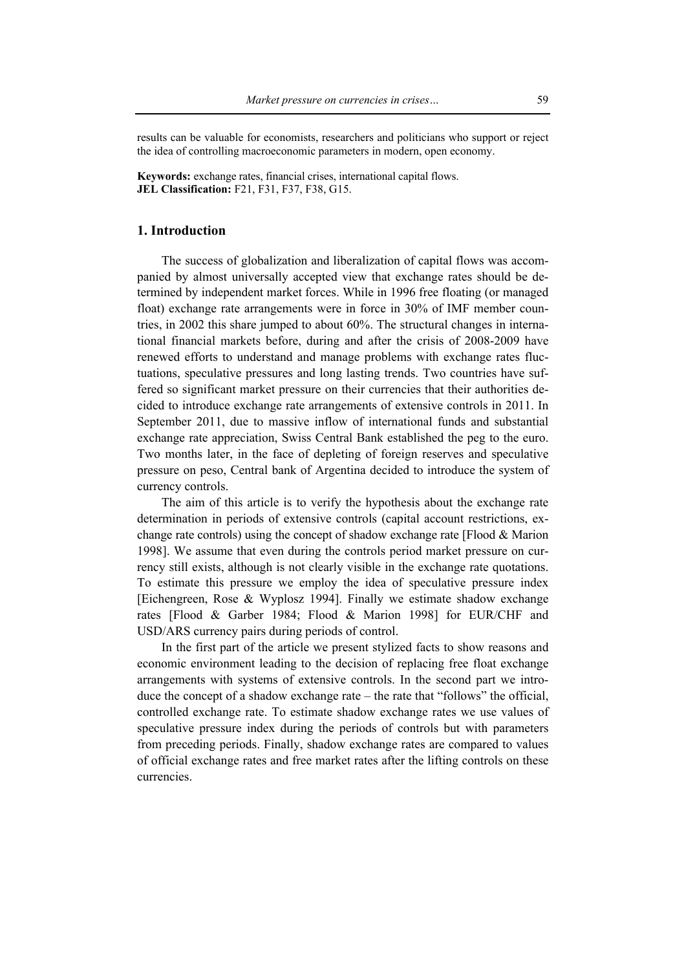results can be valuable for economists, researchers and politicians who support or reject the idea of controlling macroeconomic parameters in modern, open economy.

**Keywords:** exchange rates, financial crises, international capital flows. **JEL Classification:** F21, F31, F37, F38, G15.

## **1. Introduction**

The success of globalization and liberalization of capital flows was accompanied by almost universally accepted view that exchange rates should be determined by independent market forces. While in 1996 free floating (or managed float) exchange rate arrangements were in force in 30% of IMF member countries, in 2002 this share jumped to about 60%. The structural changes in international financial markets before, during and after the crisis of 2008-2009 have renewed efforts to understand and manage problems with exchange rates fluctuations, speculative pressures and long lasting trends. Two countries have suffered so significant market pressure on their currencies that their authorities decided to introduce exchange rate arrangements of extensive controls in 2011. In September 2011, due to massive inflow of international funds and substantial exchange rate appreciation, Swiss Central Bank established the peg to the euro. Two months later, in the face of depleting of foreign reserves and speculative pressure on peso, Central bank of Argentina decided to introduce the system of currency controls.

The aim of this article is to verify the hypothesis about the exchange rate determination in periods of extensive controls (capital account restrictions, exchange rate controls) using the concept of shadow exchange rate [Flood & Marion 1998]. We assume that even during the controls period market pressure on currency still exists, although is not clearly visible in the exchange rate quotations. To estimate this pressure we employ the idea of speculative pressure index [Eichengreen, Rose & Wyplosz 1994]. Finally we estimate shadow exchange rates [Flood & Garber 1984; Flood & Marion 1998] for EUR/CHF and USD/ARS currency pairs during periods of control.

In the first part of the article we present stylized facts to show reasons and economic environment leading to the decision of replacing free float exchange arrangements with systems of extensive controls. In the second part we introduce the concept of a shadow exchange rate – the rate that "follows" the official, controlled exchange rate. To estimate shadow exchange rates we use values of speculative pressure index during the periods of controls but with parameters from preceding periods. Finally, shadow exchange rates are compared to values of official exchange rates and free market rates after the lifting controls on these currencies.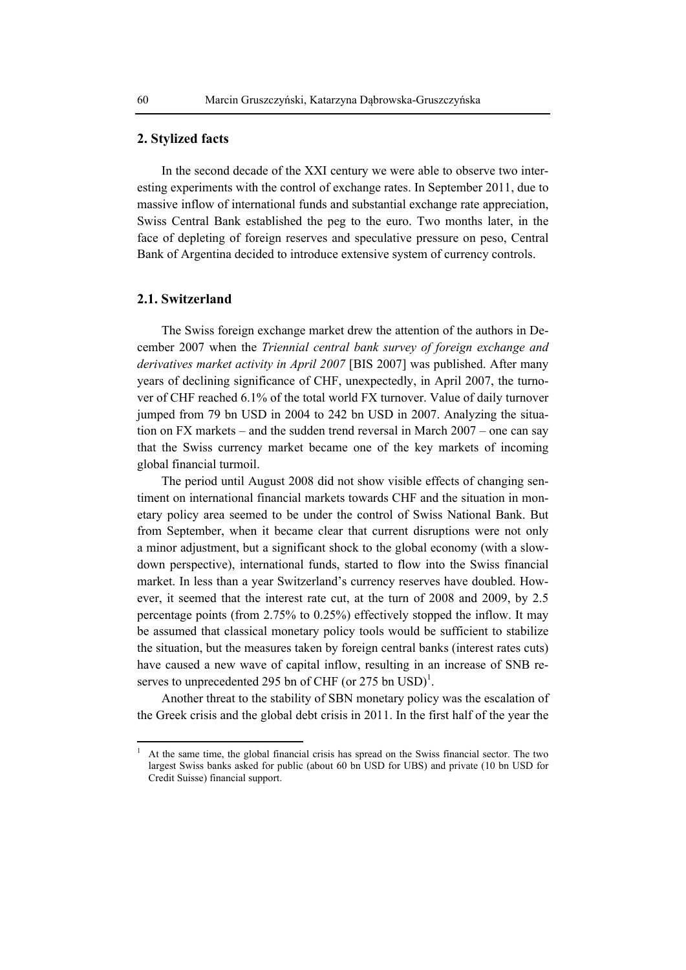## **2. Stylized facts**

In the second decade of the XXI century we were able to observe two interesting experiments with the control of exchange rates. In September 2011, due to massive inflow of international funds and substantial exchange rate appreciation, Swiss Central Bank established the peg to the euro. Two months later, in the face of depleting of foreign reserves and speculative pressure on peso, Central Bank of Argentina decided to introduce extensive system of currency controls.

## **2.1. Switzerland**

The Swiss foreign exchange market drew the attention of the authors in December 2007 when the *Triennial central bank survey of foreign exchange and derivatives market activity in April 2007* [BIS 2007] was published. After many years of declining significance of CHF, unexpectedly, in April 2007, the turnover of CHF reached 6.1% of the total world FX turnover. Value of daily turnover jumped from 79 bn USD in 2004 to 242 bn USD in 2007. Analyzing the situation on FX markets – and the sudden trend reversal in March 2007 – one can say that the Swiss currency market became one of the key markets of incoming global financial turmoil.

The period until August 2008 did not show visible effects of changing sentiment on international financial markets towards CHF and the situation in monetary policy area seemed to be under the control of Swiss National Bank. But from September, when it became clear that current disruptions were not only a minor adjustment, but a significant shock to the global economy (with a slowdown perspective), international funds, started to flow into the Swiss financial market. In less than a year Switzerland's currency reserves have doubled. However, it seemed that the interest rate cut, at the turn of 2008 and 2009, by 2.5 percentage points (from 2.75% to 0.25%) effectively stopped the inflow. It may be assumed that classical monetary policy tools would be sufficient to stabilize the situation, but the measures taken by foreign central banks (interest rates cuts) have caused a new wave of capital inflow, resulting in an increase of SNB reserves to unprecedented 295 bn of CHF (or 275 bn  $\text{USD}^1$ .

Another threat to the stability of SBN monetary policy was the escalation of the Greek crisis and the global debt crisis in 2011. In the first half of the year the

 $\overline{a}$ 

<sup>1</sup> At the same time, the global financial crisis has spread on the Swiss financial sector. The two largest Swiss banks asked for public (about 60 bn USD for UBS) and private (10 bn USD for Credit Suisse) financial support.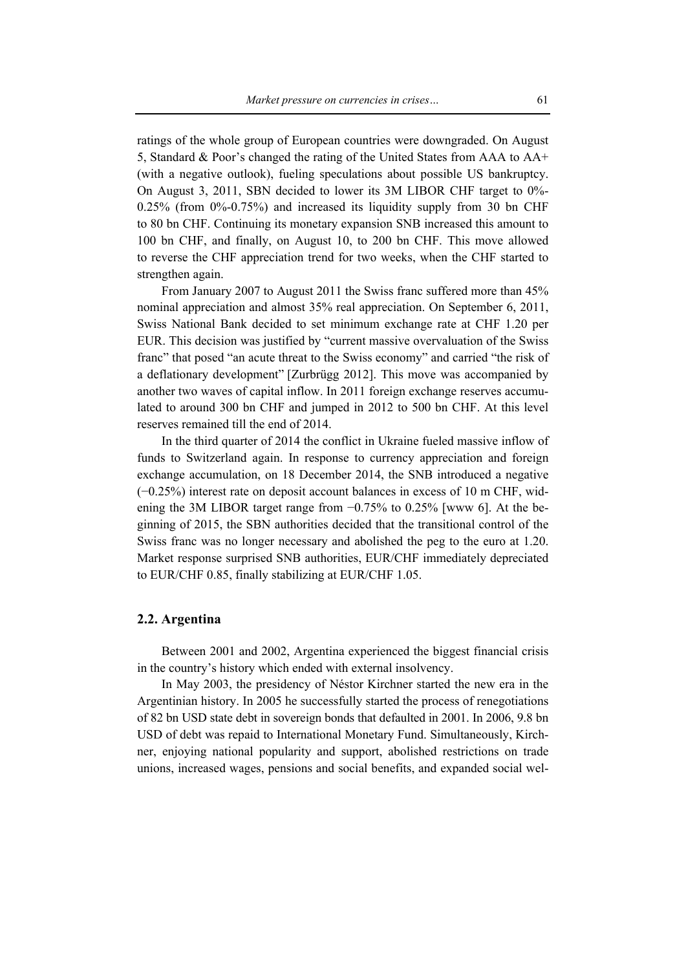ratings of the whole group of European countries were downgraded. On August 5, Standard & Poor's changed the rating of the United States from AAA to AA+ (with a negative outlook), fueling speculations about possible US bankruptcy. On August 3, 2011, SBN decided to lower its 3M LIBOR CHF target to 0%- 0.25% (from 0%-0.75%) and increased its liquidity supply from 30 bn CHF to 80 bn CHF. Continuing its monetary expansion SNB increased this amount to 100 bn CHF, and finally, on August 10, to 200 bn CHF. This move allowed to reverse the CHF appreciation trend for two weeks, when the CHF started to strengthen again.

From January 2007 to August 2011 the Swiss franc suffered more than 45% nominal appreciation and almost 35% real appreciation. On September 6, 2011, Swiss National Bank decided to set minimum exchange rate at CHF 1.20 per EUR. This decision was justified by "current massive overvaluation of the Swiss franc" that posed "an acute threat to the Swiss economy" and carried "the risk of a deflationary development" [Zurbrügg 2012]. This move was accompanied by another two waves of capital inflow. In 2011 foreign exchange reserves accumulated to around 300 bn CHF and jumped in 2012 to 500 bn CHF. At this level reserves remained till the end of 2014.

In the third quarter of 2014 the conflict in Ukraine fueled massive inflow of funds to Switzerland again. In response to currency appreciation and foreign exchange accumulation, on 18 December 2014, the SNB introduced a negative (−0.25%) interest rate on deposit account balances in excess of 10 m CHF, widening the 3M LIBOR target range from −0.75% to 0.25% [www 6]. At the beginning of 2015, the SBN authorities decided that the transitional control of the Swiss franc was no longer necessary and abolished the peg to the euro at 1.20. Market response surprised SNB authorities, EUR/CHF immediately depreciated to EUR/CHF 0.85, finally stabilizing at EUR/CHF 1.05.

## **2.2. Argentina**

Between 2001 and 2002, Argentina experienced the biggest financial crisis in the country's history which ended with external insolvency.

In May 2003, the presidency of Néstor Kirchner started the new era in the Argentinian history. In 2005 he successfully started the process of renegotiations of 82 bn USD state debt in sovereign bonds that defaulted in 2001. In 2006, 9.8 bn USD of debt was repaid to International Monetary Fund. Simultaneously, Kirchner, enjoying national popularity and support, abolished restrictions on trade unions, increased wages, pensions and social benefits, and expanded social wel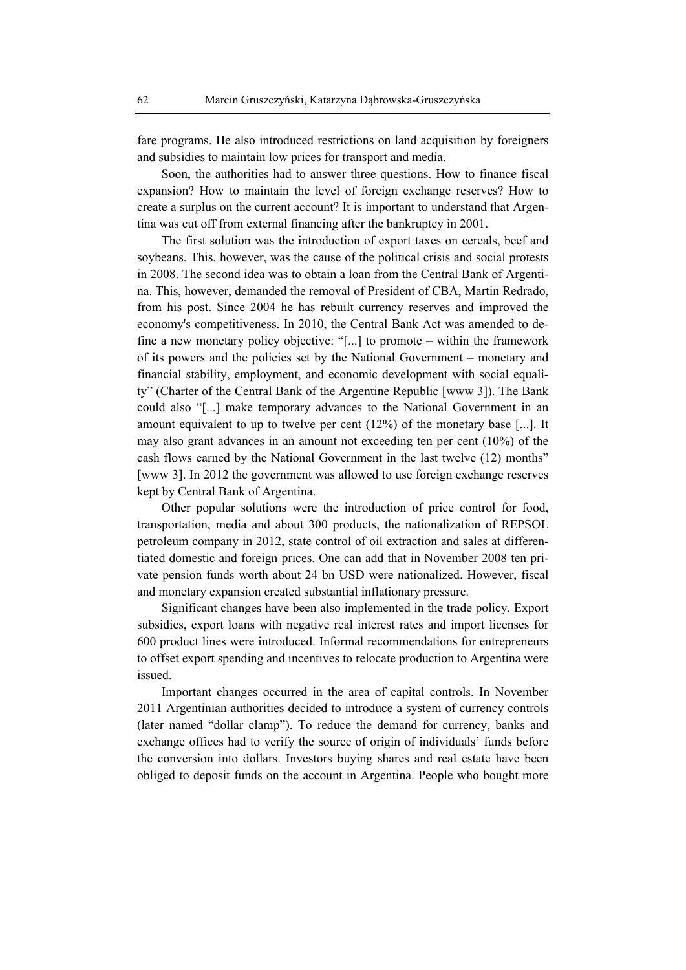fare programs. He also introduced restrictions on land acquisition by foreigners and subsidies to maintain low prices for transport and media.

Soon, the authorities had to answer three questions. How to finance fiscal expansion? How to maintain the level of foreign exchange reserves? How to create a surplus on the current account? It is important to understand that Argentina was cut off from external financing after the bankruptcy in 2001.

The first solution was the introduction of export taxes on cereals, beef and soybeans. This, however, was the cause of the political crisis and social protests in 2008. The second idea was to obtain a loan from the Central Bank of Argentina. This, however, demanded the removal of President of CBA, Martin Redrado, from his post. Since 2004 he has rebuilt currency reserves and improved the economy's competitiveness. In 2010, the Central Bank Act was amended to define a new monetary policy objective: "[...] to promote – within the framework of its powers and the policies set by the National Government – monetary and financial stability, employment, and economic development with social equality" (Charter of the Central Bank of the Argentine Republic [www 3]). The Bank could also "[...] make temporary advances to the National Government in an amount equivalent to up to twelve per cent (12%) of the monetary base [...]. It may also grant advances in an amount not exceeding ten per cent (10%) of the cash flows earned by the National Government in the last twelve (12) months" [www 3]. In 2012 the government was allowed to use foreign exchange reserves kept by Central Bank of Argentina.

Other popular solutions were the introduction of price control for food, transportation, media and about 300 products, the nationalization of REPSOL petroleum company in 2012, state control of oil extraction and sales at differentiated domestic and foreign prices. One can add that in November 2008 ten private pension funds worth about 24 bn USD were nationalized. However, fiscal and monetary expansion created substantial inflationary pressure.

Significant changes have been also implemented in the trade policy. Export subsidies, export loans with negative real interest rates and import licenses for 600 product lines were introduced. Informal recommendations for entrepreneurs to offset export spending and incentives to relocate production to Argentina were issued.

Important changes occurred in the area of capital controls. In November 2011 Argentinian authorities decided to introduce a system of currency controls (later named "dollar clamp"). To reduce the demand for currency, banks and exchange offices had to verify the source of origin of individuals' funds before the conversion into dollars. Investors buying shares and real estate have been obliged to deposit funds on the account in Argentina. People who bought more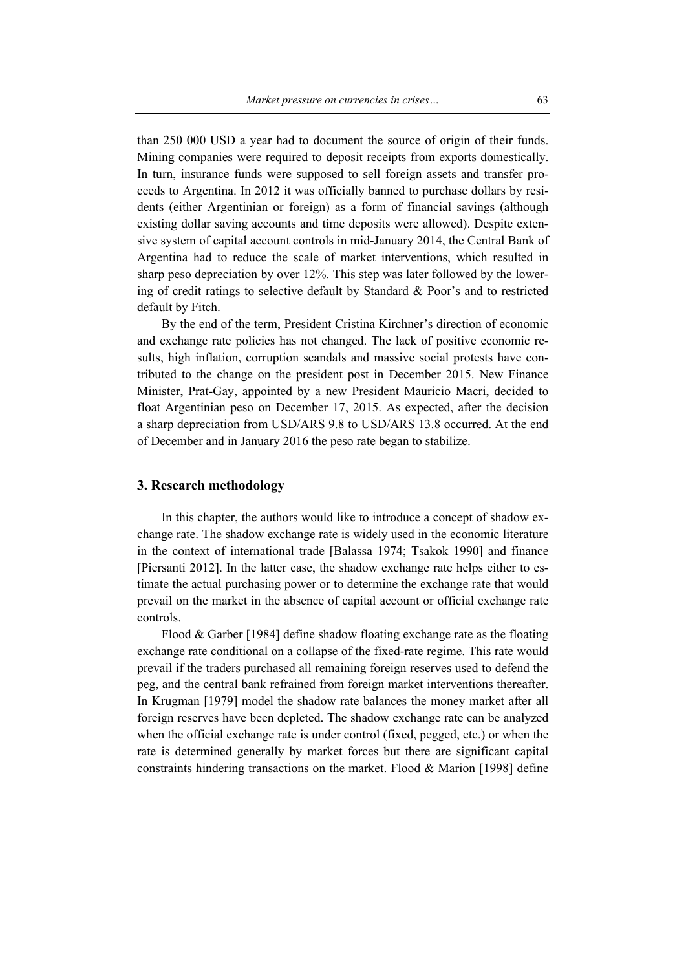than 250 000 USD a year had to document the source of origin of their funds. Mining companies were required to deposit receipts from exports domestically. In turn, insurance funds were supposed to sell foreign assets and transfer proceeds to Argentina. In 2012 it was officially banned to purchase dollars by residents (either Argentinian or foreign) as a form of financial savings (although existing dollar saving accounts and time deposits were allowed). Despite extensive system of capital account controls in mid-January 2014, the Central Bank of Argentina had to reduce the scale of market interventions, which resulted in sharp peso depreciation by over 12%. This step was later followed by the lowering of credit ratings to selective default by Standard & Poor's and to restricted default by Fitch.

By the end of the term, President Cristina Kirchner's direction of economic and exchange rate policies has not changed. The lack of positive economic results, high inflation, corruption scandals and massive social protests have contributed to the change on the president post in December 2015. New Finance Minister, Prat-Gay, appointed by a new President Mauricio Macri, decided to float Argentinian peso on December 17, 2015. As expected, after the decision a sharp depreciation from USD/ARS 9.8 to USD/ARS 13.8 occurred. At the end of December and in January 2016 the peso rate began to stabilize.

## **3. Research methodology**

In this chapter, the authors would like to introduce a concept of shadow exchange rate. The shadow exchange rate is widely used in the economic literature in the context of international trade [Balassa 1974; Tsakok 1990] and finance [Piersanti 2012]. In the latter case, the shadow exchange rate helps either to estimate the actual purchasing power or to determine the exchange rate that would prevail on the market in the absence of capital account or official exchange rate controls.

Flood & Garber [1984] define shadow floating exchange rate as the floating exchange rate conditional on a collapse of the fixed-rate regime. This rate would prevail if the traders purchased all remaining foreign reserves used to defend the peg, and the central bank refrained from foreign market interventions thereafter. In Krugman [1979] model the shadow rate balances the money market after all foreign reserves have been depleted. The shadow exchange rate can be analyzed when the official exchange rate is under control (fixed, pegged, etc.) or when the rate is determined generally by market forces but there are significant capital constraints hindering transactions on the market. Flood & Marion [1998] define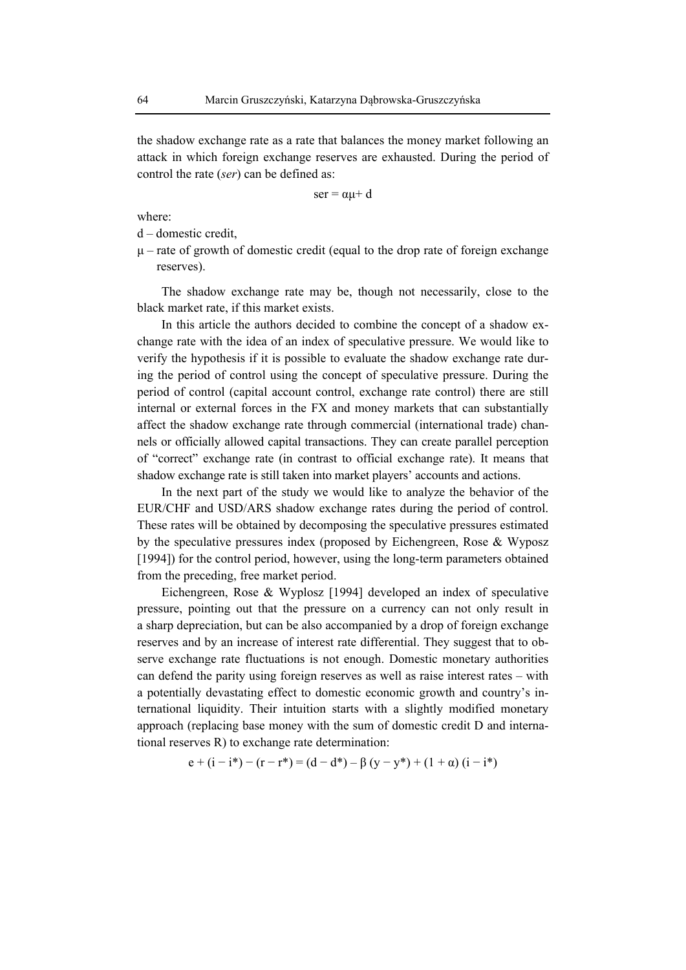the shadow exchange rate as a rate that balances the money market following an attack in which foreign exchange reserves are exhausted. During the period of control the rate (*ser*) can be defined as:

 $ser = \alpha\mu + d$ 

where:

d – domestic credit,

 $\mu$  – rate of growth of domestic credit (equal to the drop rate of foreign exchange reserves).

The shadow exchange rate may be, though not necessarily, close to the black market rate, if this market exists.

In this article the authors decided to combine the concept of a shadow exchange rate with the idea of an index of speculative pressure. We would like to verify the hypothesis if it is possible to evaluate the shadow exchange rate during the period of control using the concept of speculative pressure. During the period of control (capital account control, exchange rate control) there are still internal or external forces in the FX and money markets that can substantially affect the shadow exchange rate through commercial (international trade) channels or officially allowed capital transactions. They can create parallel perception of "correct" exchange rate (in contrast to official exchange rate). It means that shadow exchange rate is still taken into market players' accounts and actions.

In the next part of the study we would like to analyze the behavior of the EUR/CHF and USD/ARS shadow exchange rates during the period of control. These rates will be obtained by decomposing the speculative pressures estimated by the speculative pressures index (proposed by Eichengreen, Rose & Wyposz [1994]) for the control period, however, using the long-term parameters obtained from the preceding, free market period.

Eichengreen, Rose & Wyplosz [1994] developed an index of speculative pressure, pointing out that the pressure on a currency can not only result in a sharp depreciation, but can be also accompanied by a drop of foreign exchange reserves and by an increase of interest rate differential. They suggest that to observe exchange rate fluctuations is not enough. Domestic monetary authorities can defend the parity using foreign reserves as well as raise interest rates – with a potentially devastating effect to domestic economic growth and country's international liquidity. Their intuition starts with a slightly modified monetary approach (replacing base money with the sum of domestic credit D and international reserves R) to exchange rate determination:

$$
e + (i - i^{*}) - (r - r^{*}) = (d - d^{*}) - \beta (y - y^{*}) + (1 + \alpha) (i - i^{*})
$$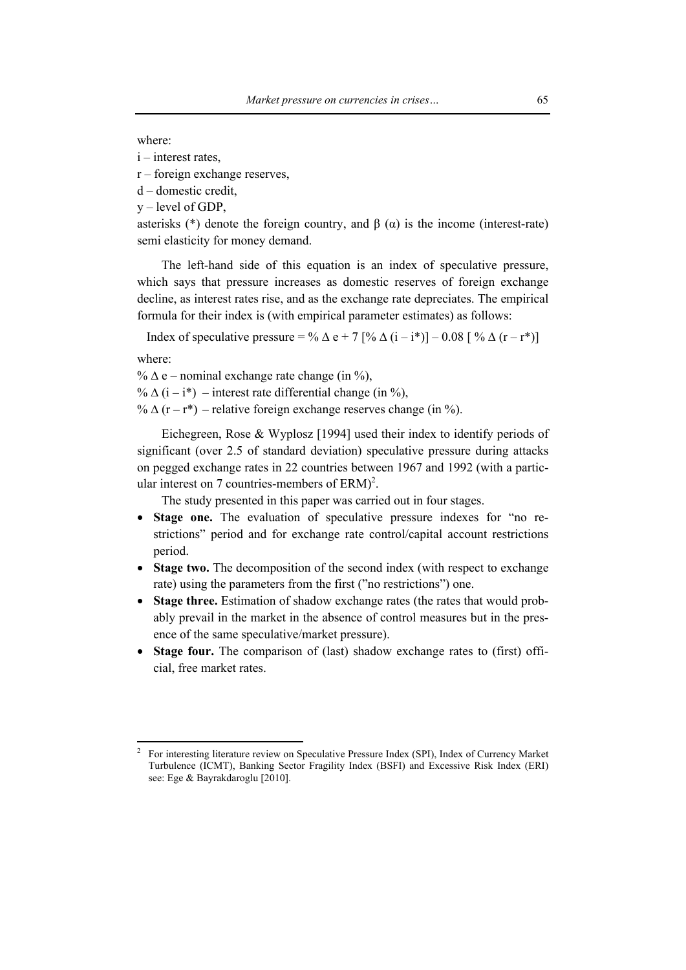#### where:

- i interest rates,
- r foreign exchange reserves,
- d domestic credit,
- $v$  level of GDP,

asterisks (\*) denote the foreign country, and  $\beta$  ( $\alpha$ ) is the income (interest-rate) semi elasticity for money demand.

The left-hand side of this equation is an index of speculative pressure, which says that pressure increases as domestic reserves of foreign exchange decline, as interest rates rise, and as the exchange rate depreciates. The empirical formula for their index is (with empirical parameter estimates) as follows:

Index of speculative pressure = %  $\Delta$  e + 7 [%  $\Delta$  (i – i<sup>\*</sup>)] – 0.08 [%  $\Delta$  (r – r<sup>\*</sup>)]

where:

 $\overline{a}$ 

%  $\Delta$  e – nominal exchange rate change (in %),

%  $\Delta$  (i – i<sup>\*</sup>) – interest rate differential change (in %),

%  $\Delta$  (r – r\*) – relative foreign exchange reserves change (in %).

Eichegreen, Rose & Wyplosz [1994] used their index to identify periods of significant (over 2.5 of standard deviation) speculative pressure during attacks on pegged exchange rates in 22 countries between 1967 and 1992 (with a particular interest on 7 countries-members of  $ERM$ <sup>2</sup>.

The study presented in this paper was carried out in four stages.

- **Stage one.** The evaluation of speculative pressure indexes for "no restrictions" period and for exchange rate control/capital account restrictions period.
- **Stage two.** The decomposition of the second index (with respect to exchange rate) using the parameters from the first ("no restrictions") one.
- **Stage three.** Estimation of shadow exchange rates (the rates that would probably prevail in the market in the absence of control measures but in the presence of the same speculative/market pressure).
- **Stage four.** The comparison of (last) shadow exchange rates to (first) official, free market rates.

<sup>2</sup> For interesting literature review on Speculative Pressure Index (SPI), Index of Currency Market Turbulence (ICMT), Banking Sector Fragility Index (BSFI) and Excessive Risk Index (ERI) see: Ege & Bayrakdaroglu [2010].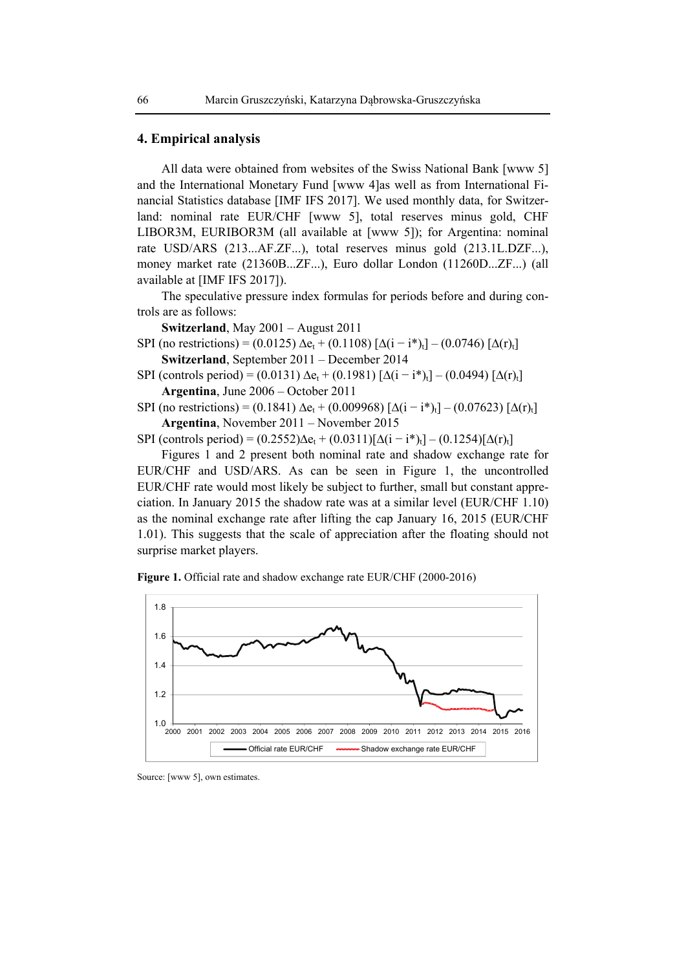### **4. Empirical analysis**

All data were obtained from websites of the Swiss National Bank [www 5] and the International Monetary Fund [www 4]as well as from International Financial Statistics database [IMF IFS 2017]. We used monthly data, for Switzerland: nominal rate EUR/CHF [www 5], total reserves minus gold, CHF LIBOR3M, EURIBOR3M (all available at [www 5]); for Argentina: nominal rate USD/ARS (213...AF.ZF...), total reserves minus gold (213.1L.DZF...), money market rate (21360B...ZF...), Euro dollar London (11260D...ZF...) (all available at [IMF IFS 2017]).

The speculative pressure index formulas for periods before and during controls are as follows:

**Switzerland**, May 2001 – August 2011

SPI (no restrictions) = (0.0125)  $\Delta e_t + (0.1108) [\Delta(i - i^*)_t] - (0.0746) [\Delta(r)_t]$ **Switzerland**, September 2011 – December 2014

- SPI (controls period) = (0.0131)  $\Delta e_t + (0.1981) [\Delta(i i^*)_t] (0.0494) [\Delta(r)_t]$ **Argentina**, June 2006 – October 2011
- SPI (no restrictions) = (0.1841)  $\Delta e_t + (0.009968) [\Delta(i i^*)] (0.07623) [\Delta(r)_t]$ **Argentina**, November 2011 – November 2015

SPI (controls period) =  $(0.2552)\Delta e_t + (0.0311)[\Delta(i - i^*)_t] - (0.1254)[\Delta(r)_t]$ 

Figures 1 and 2 present both nominal rate and shadow exchange rate for EUR/CHF and USD/ARS. As can be seen in Figure 1, the uncontrolled EUR/CHF rate would most likely be subject to further, small but constant appreciation. In January 2015 the shadow rate was at a similar level (EUR/CHF 1.10) as the nominal exchange rate after lifting the cap January 16, 2015 (EUR/CHF 1.01). This suggests that the scale of appreciation after the floating should not surprise market players.





Source: [www 5], own estimates.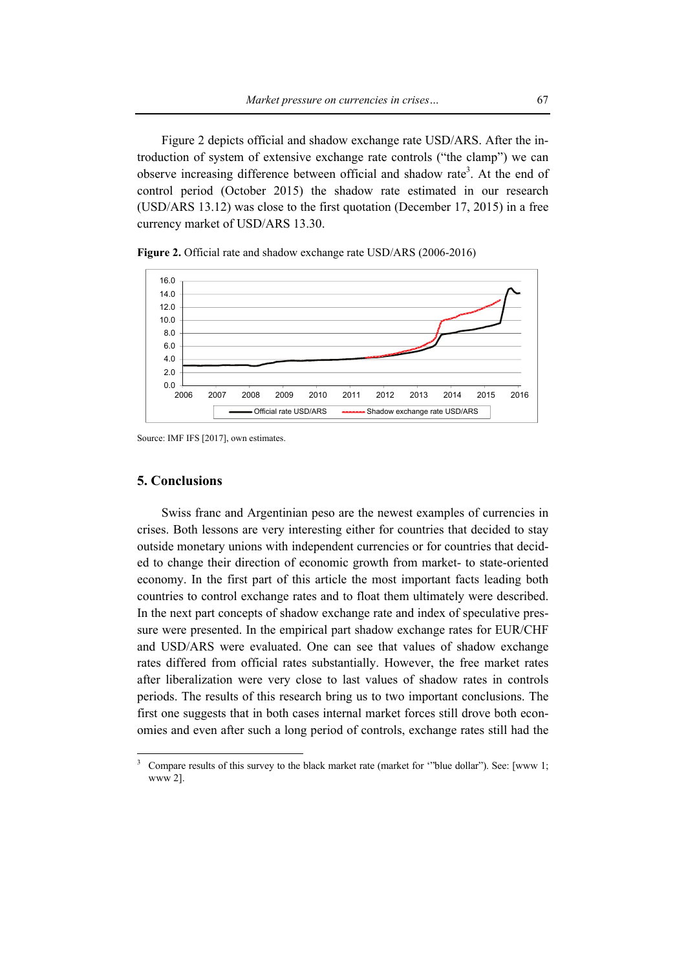Figure 2 depicts official and shadow exchange rate USD/ARS. After the introduction of system of extensive exchange rate controls ("the clamp") we can observe increasing difference between official and shadow rate<sup>3</sup>. At the end of control period (October 2015) the shadow rate estimated in our research (USD/ARS 13.12) was close to the first quotation (December 17, 2015) in a free currency market of USD/ARS 13.30.

**Figure 2.** Official rate and shadow exchange rate USD/ARS (2006-2016)



Source: IMF IFS [2017], own estimates.

#### **5. Conclusions**

 $\overline{\phantom{a}}$ 

Swiss franc and Argentinian peso are the newest examples of currencies in crises. Both lessons are very interesting either for countries that decided to stay outside monetary unions with independent currencies or for countries that decided to change their direction of economic growth from market- to state-oriented economy. In the first part of this article the most important facts leading both countries to control exchange rates and to float them ultimately were described. In the next part concepts of shadow exchange rate and index of speculative pressure were presented. In the empirical part shadow exchange rates for EUR/CHF and USD/ARS were evaluated. One can see that values of shadow exchange rates differed from official rates substantially. However, the free market rates after liberalization were very close to last values of shadow rates in controls periods. The results of this research bring us to two important conclusions. The first one suggests that in both cases internal market forces still drove both economies and even after such a long period of controls, exchange rates still had the

<sup>3</sup> Compare results of this survey to the black market rate (market for '"blue dollar"). See: [www 1; www 2].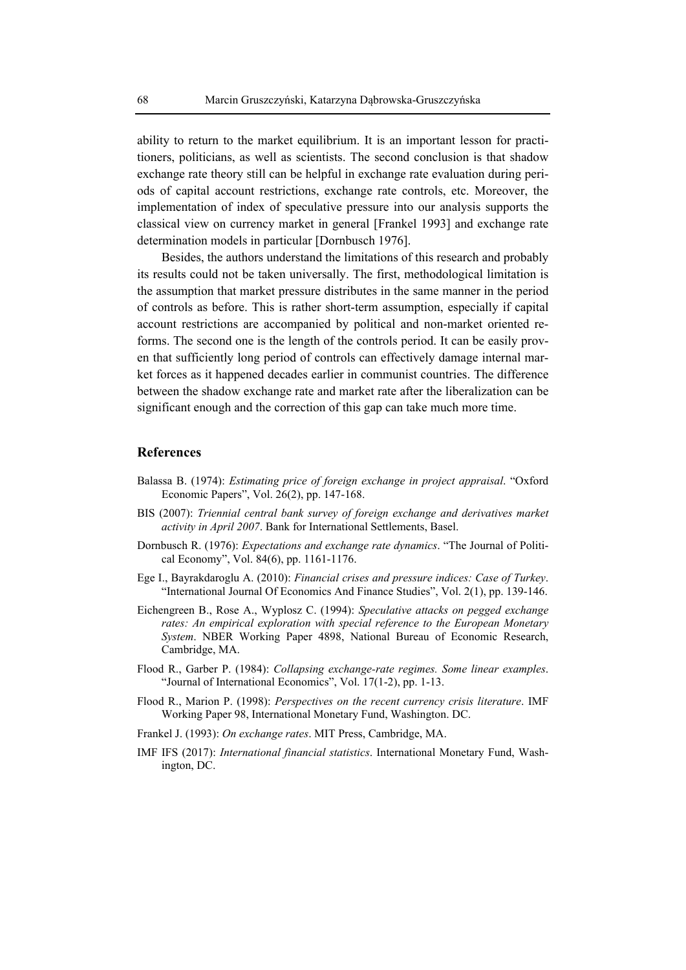ability to return to the market equilibrium. It is an important lesson for practitioners, politicians, as well as scientists. The second conclusion is that shadow exchange rate theory still can be helpful in exchange rate evaluation during periods of capital account restrictions, exchange rate controls, etc. Moreover, the implementation of index of speculative pressure into our analysis supports the classical view on currency market in general [Frankel 1993] and exchange rate determination models in particular [Dornbusch 1976].

Besides, the authors understand the limitations of this research and probably its results could not be taken universally. The first, methodological limitation is the assumption that market pressure distributes in the same manner in the period of controls as before. This is rather short-term assumption, especially if capital account restrictions are accompanied by political and non-market oriented reforms. The second one is the length of the controls period. It can be easily proven that sufficiently long period of controls can effectively damage internal market forces as it happened decades earlier in communist countries. The difference between the shadow exchange rate and market rate after the liberalization can be significant enough and the correction of this gap can take much more time.

### **References**

- Balassa B. (1974): *Estimating price of foreign exchange in project appraisal*. "Oxford Economic Papers", Vol. 26(2), pp. 147-168.
- BIS (2007): *Triennial central bank survey of foreign exchange and derivatives market activity in April 2007*. Bank for International Settlements, Basel.
- Dornbusch R. (1976): *Expectations and exchange rate dynamics*. "The Journal of Political Economy", Vol. 84(6), pp. 1161-1176.
- Ege I., Bayrakdaroglu A. (2010): *Financial crises and pressure indices: Case of Turkey*. "International Journal Of Economics And Finance Studies", Vol. 2(1), pp. 139-146.
- Eichengreen B., Rose A., Wyplosz C. (1994): *Speculative attacks on pegged exchange rates: An empirical exploration with special reference to the European Monetary System*. NBER Working Paper 4898, National Bureau of Economic Research, Cambridge, MA.
- Flood R., Garber P. (1984): *Collapsing exchange-rate regimes. Some linear examples*. "Journal of International Economics", Vol. 17(1-2), pp. 1-13.
- Flood R., Marion P. (1998): *Perspectives on the recent currency crisis literature*. IMF Working Paper 98, International Monetary Fund, Washington. DC.
- Frankel J. (1993): *On exchange rates*. MIT Press, Cambridge, MA.
- IMF IFS (2017): *International financial statistics*. International Monetary Fund, Washington, DC.